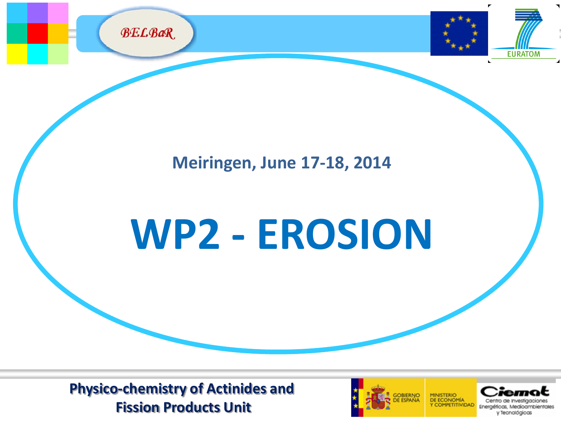



## **Meiringen, June 17-18, 2014**

# **WP2 - EROSION**

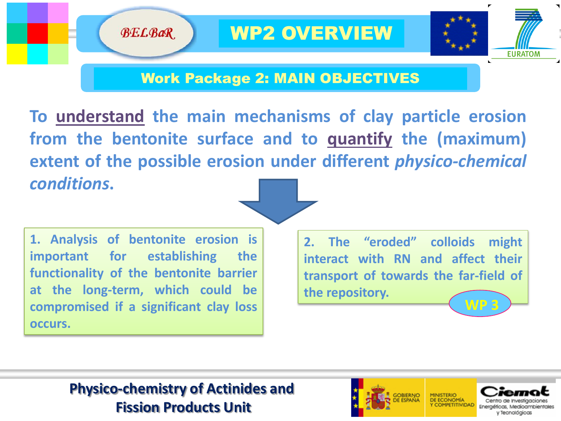

#### Work Package 2: MAIN OBJECTIVES

**To understand the main mechanisms of clay particle erosion from the bentonite surface and to quantify the (maximum) extent of the possible erosion under different** *physico-chemical conditions***.**

**1. Analysis of bentonite erosion is important for establishing the functionality of the bentonite barrier at the long-term, which could be compromised if a significant clay loss occurs.**

**2. The "eroded" colloids might interact with RN and affect their transport of towards the far-field of the repository. WP 3**

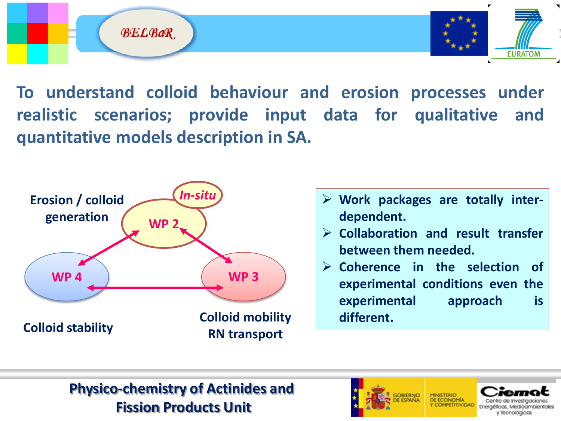

**EURATOM** 

**To understand colloid behaviour and erosion processes under realistic scenarios; provide input data for qualitative and quantitative models description in SA.**



- **Work packages are totally interdependent.**
- **Collaboration and result transfer between them needed.**
- **Coherence in the selection of experimental conditions even the experimental approach is different.**

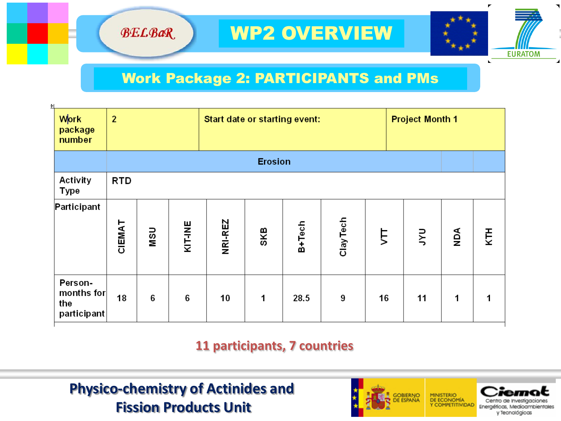

# WP2 OVERVIEW



## Work Package 2: PARTICIPANTS and PMs

| $\overline{1}$                              |                |            |                |                                      |     |        |           |    |                        |            |     |  |
|---------------------------------------------|----------------|------------|----------------|--------------------------------------|-----|--------|-----------|----|------------------------|------------|-----|--|
| <b>Work</b><br>package<br>number            | $\overline{2}$ |            |                | <b>Start date or starting event:</b> |     |        |           |    | <b>Project Month 1</b> |            |     |  |
|                                             | <b>Erosion</b> |            |                |                                      |     |        |           |    |                        |            |     |  |
| Activity<br><b>Type</b>                     | <b>RTD</b>     |            |                |                                      |     |        |           |    |                        |            |     |  |
| Participant                                 | CIEMAT         | <b>USN</b> | <b>KIT-INE</b> | NRI-REZ                              | SKB | B+Tech | Clay Tech | È  | $\vec{z}$              | <b>AON</b> | KTH |  |
| Person-<br>months for<br>the<br>participant | 18             | 6          | 6              | 10                                   | 1   | 28.5   | 9         | 16 | 11                     | 1          |     |  |

#### **11 participants, 7 countries**

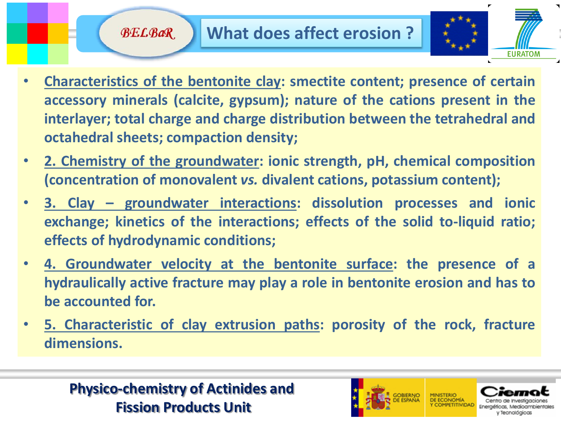

- **Characteristics of the bentonite clay: smectite content; presence of certain accessory minerals (calcite, gypsum); nature of the cations present in the interlayer; total charge and charge distribution between the tetrahedral and octahedral sheets; compaction density;**
- **2. Chemistry of the groundwater: ionic strength, pH, chemical composition (concentration of monovalent** *vs.* **divalent cations, potassium content);**
- **3. Clay – groundwater interactions: dissolution processes and ionic exchange; kinetics of the interactions; effects of the solid to-liquid ratio; effects of hydrodynamic conditions;**
- **4. Groundwater velocity at the bentonite surface: the presence of a hydraulically active fracture may play a role in bentonite erosion and has to be accounted for.**
- **5. Characteristic of clay extrusion paths: porosity of the rock, fracture dimensions.**

**Physico-chemistry of Actinides and Fission Products Unit**

**BELBaR** 

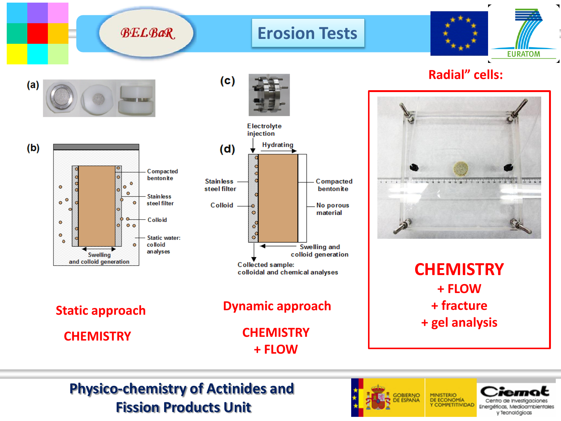